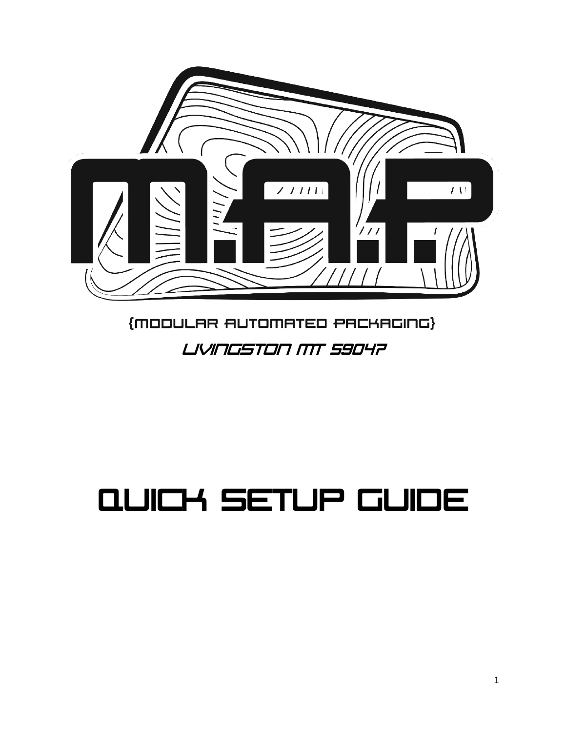

#### {MODULAR AUTOMATED PACKAGING} Livingston MT 59047

# Quick Setup Guide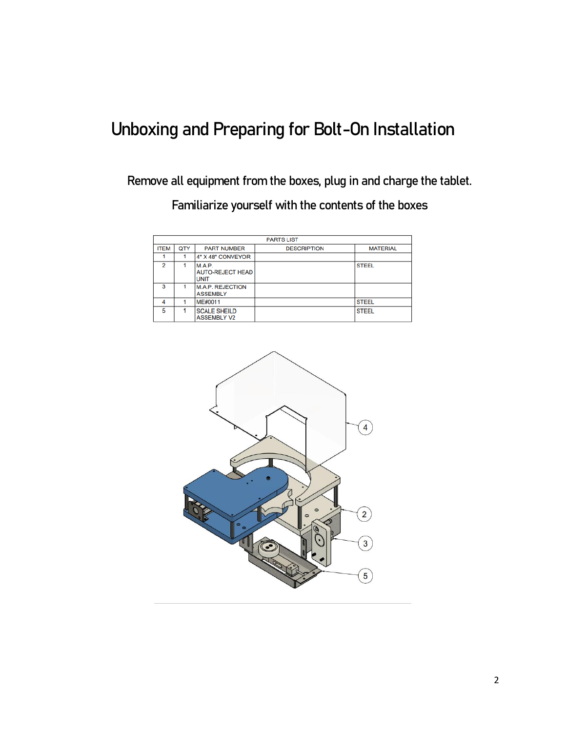#### Unboxing and Preparing for Bolt-On Installation

Remove all equipment from the boxes, plug in and charge the tablet.

Familiarize yourself with the contents of the boxes

| <b>PARTS LIST</b> |            |                                                  |                    |                 |  |  |
|-------------------|------------|--------------------------------------------------|--------------------|-----------------|--|--|
| <b>ITEM</b>       | <b>QTY</b> | <b>PART NUMBER</b>                               | <b>DESCRIPTION</b> | <b>MATERIAL</b> |  |  |
|                   |            | 4" X 48" CONVEYOR                                |                    |                 |  |  |
| $\mathcal{D}$     |            | M.A.P.<br><b>AUTO-REJECT HEAD</b><br><b>UNIT</b> |                    | <b>STEEL</b>    |  |  |
| 3                 |            | <b>M.A.P. REJECTION</b><br><b>ASSEMBLY</b>       |                    |                 |  |  |
| 4                 |            | ME#0011                                          |                    | <b>STEEL</b>    |  |  |
| 5                 |            | <b>SCALE SHEILD</b><br><b>ASSEMBLY V2</b>        |                    | <b>STEEL</b>    |  |  |

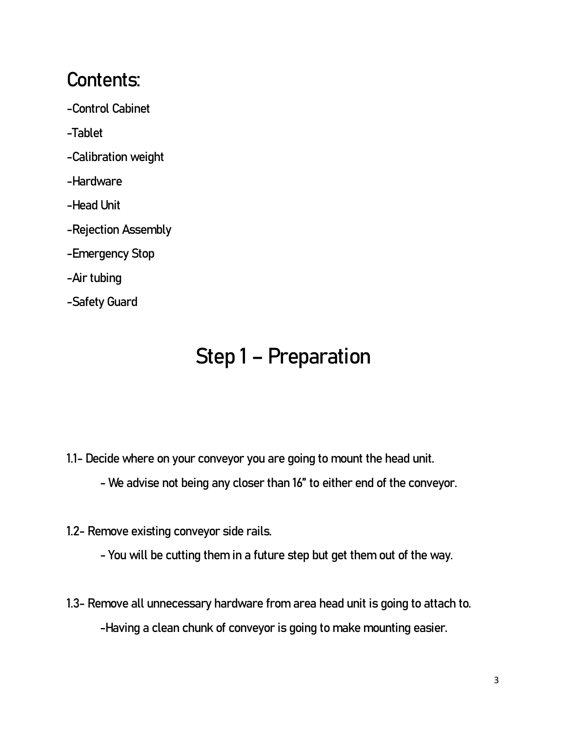#### Contents:

- -Control Cabinet
- -Tablet
- -Calibration weight
- -Hardware
- -Head Unit
- -Rejection Assembly
- -Emergency Stop
- -Air tubing
- -Safety Guard

## Step 1 – Preparation

- 1.1- Decide where on your conveyor you are going to mount the head unit.
	- We advise not being any closer than 16" to either end of the conveyor.
- 1.2- Remove existing conveyor side rails.
	- You will be cutting them in a future step but get them out of the way.
- 1.3- Remove all unnecessary hardware from area head unit is going to attach to. -Having a clean chunk of conveyor is going to make mounting easier.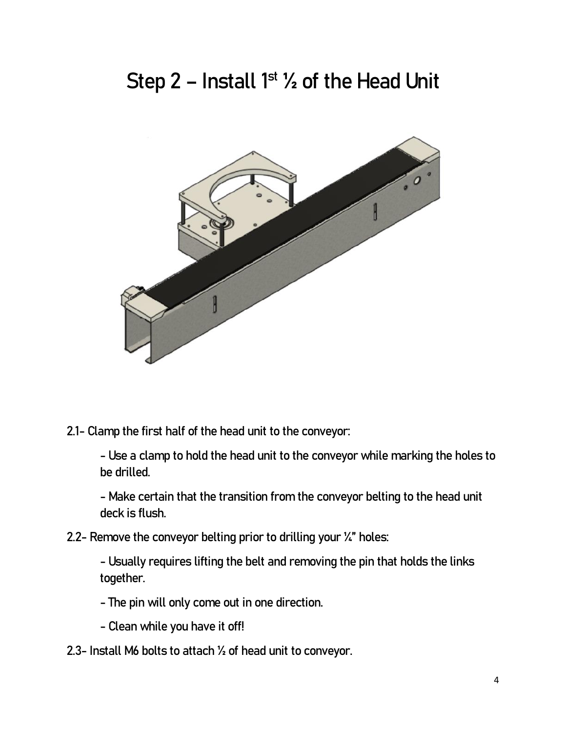### Step 2 - Install  $1<sup>st</sup>$   $\frac{1}{2}$  of the Head Unit



2.1- Clamp the first half of the head unit to the conveyor:

- Use a clamp to hold the head unit to the conveyor while marking the holes to be drilled.

- Make certain that the transition from the conveyor belting to the head unit deck is flush.

2.2- Remove the conveyor belting prior to drilling your  $\mathcal{U}$ " holes:

- Usually requires lifting the belt and removing the pin that holds the links together.

- The pin will only come out in one direction.
- Clean while you have it off!
- 2.3- Install M6 bolts to attach ½ of head unit to conveyor.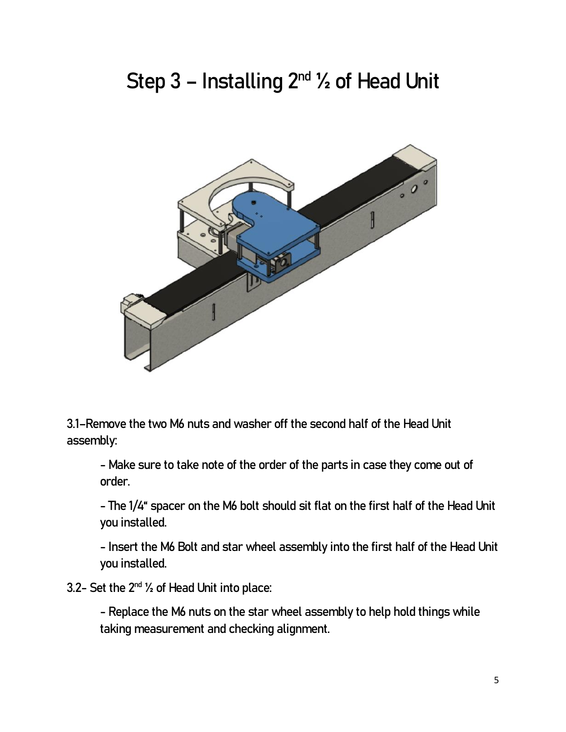### Step  $3$  – Installing  $2^{nd}$   $\frac{1}{2}$  of Head Unit



3.1–Remove the two M6 nuts and washer off the second half of the Head Unit assembly:

- Make sure to take note of the order of the parts in case they come out of order.

- The 1/4" spacer on the M6 bolt should sit flat on the first half of the Head Unit you installed.

- Insert the M6 Bolt and star wheel assembly into the first half of the Head Unit you installed.

3.2- Set the  $2^{nd}$   $\frac{1}{2}$  of Head Unit into place:

- Replace the M6 nuts on the star wheel assembly to help hold things while taking measurement and checking alignment.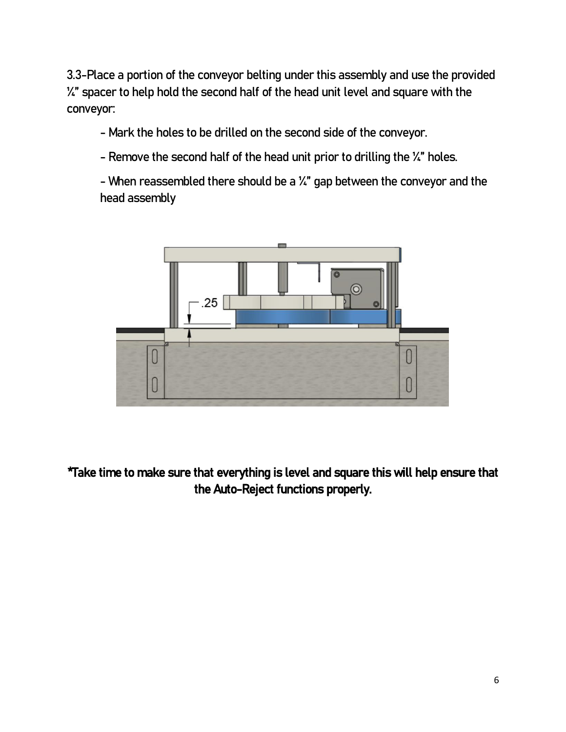3.3-Place a portion of the conveyor belting under this assembly and use the provided  $\frac{1}{4}$ " spacer to help hold the second half of the head unit level and square with the conveyor:

- Mark the holes to be drilled on the second side of the conveyor.

- Remove the second half of the head unit prior to drilling the  $\chi$ " holes.

- When reassembled there should be a ¼" gap between the conveyor and the head assembly



\*Take time to make sure that everything is level and square this will help ensure that the Auto-Reject functions properly.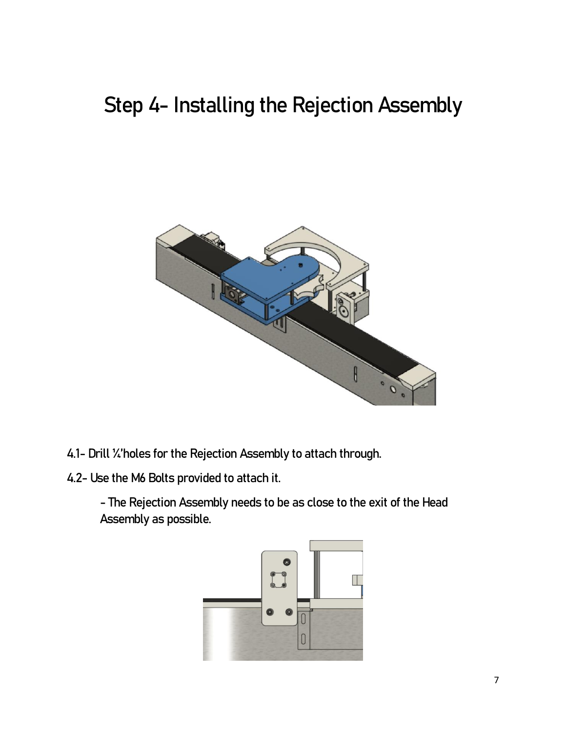### Step 4- Installing the Rejection Assembly



- 4.1- Drill ¼'holes for the Rejection Assembly to attach through.
- 4.2- Use the M6 Bolts provided to attach it.

- The Rejection Assembly needs to be as close to the exit of the Head Assembly as possible.

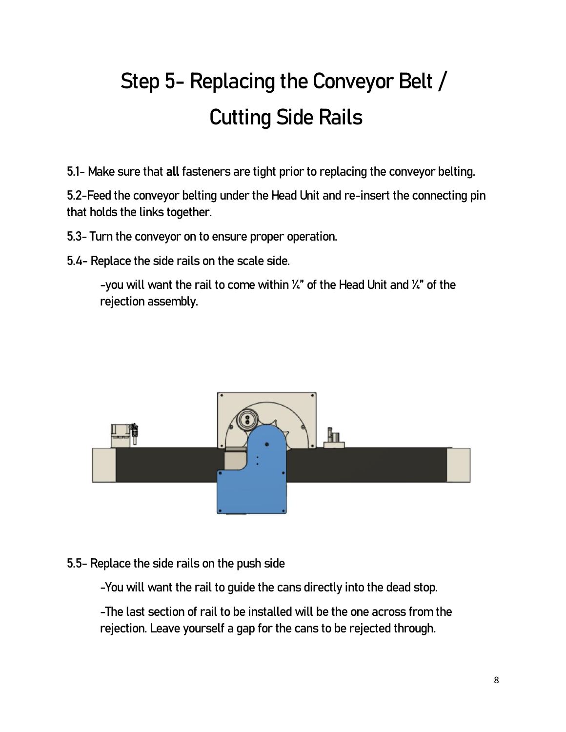# Step 5- Replacing the Conveyor Belt / Cutting Side Rails

5.1- Make sure that all fasteners are tight prior to replacing the conveyor belting.

5.2-Feed the conveyor belting under the Head Unit and re-insert the connecting pin that holds the links together.

5.3- Turn the conveyor on to ensure proper operation.

5.4- Replace the side rails on the scale side.

-you will want the rail to come within  $\frac{1}{4}$ " of the Head Unit and  $\frac{1}{4}$ " of the rejection assembly.



#### 5.5- Replace the side rails on the push side

-You will want the rail to guide the cans directly into the dead stop.

-The last section of rail to be installed will be the one across from the rejection. Leave yourself a gap for the cans to be rejected through.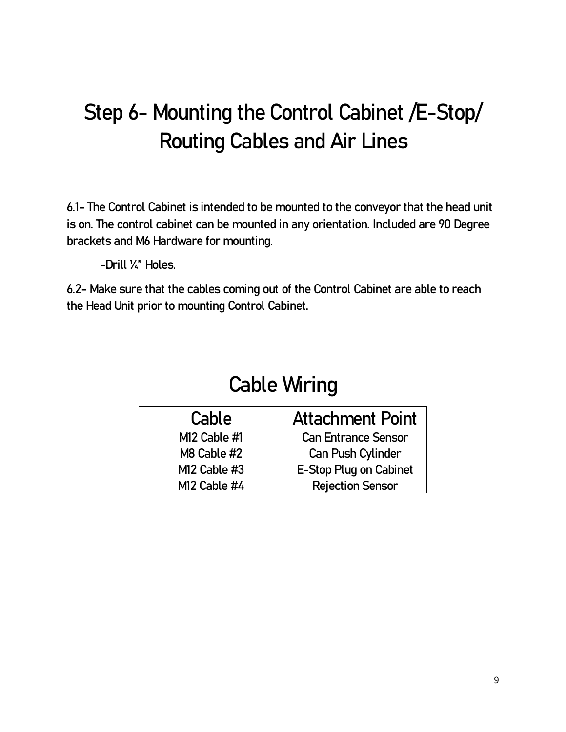## Step 6- Mounting the Control Cabinet /E-Stop/ Routing Cables and Air Lines

6.1- The Control Cabinet is intended to be mounted to the conveyor that the head unit is on. The control cabinet can be mounted in any orientation. Included are 90 Degree brackets and M6 Hardware for mounting.

-Drill ¼" Holes.

6.2- Make sure that the cables coming out of the Control Cabinet are able to reach the Head Unit prior to mounting Control Cabinet.

#### Cable Wiring

| Cable          | <b>Attachment Point</b>    |
|----------------|----------------------------|
| M12 Cable #1   | <b>Can Entrance Sensor</b> |
| M8 Cable #2    | Can Push Cylinder          |
| $M12$ Cable #3 | E-Stop Plug on Cabinet     |
| M12 Cable #4   | <b>Rejection Sensor</b>    |